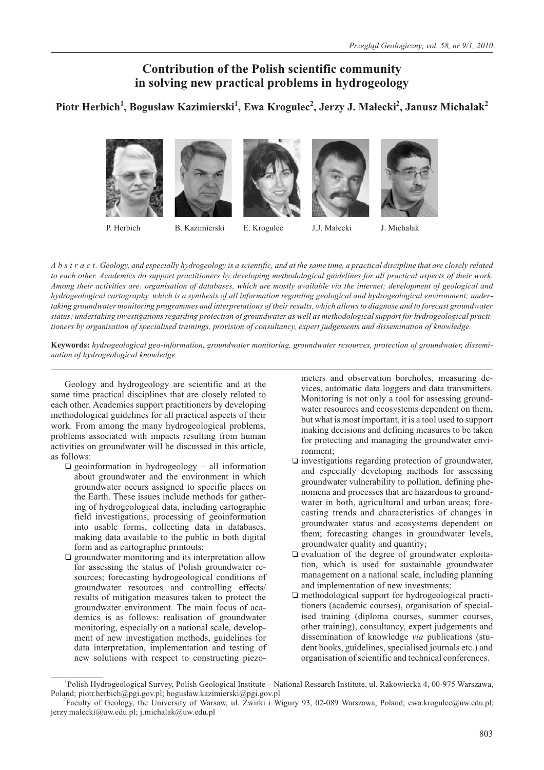# **Contribution of the Polish scientific community in solving new practical problems in hydrogeology**

# **Piotr Herbich<sup>1</sup> , Bogus³aw Kazimierski<sup>1</sup> , Ewa Krogulec2 , Jerzy J. Ma³ecki<sup>2</sup> , Janusz Michalak<sup>2</sup>**



P. Herbich B. Kazimierski

E. Krogulec J.J. Małecki J. Michalak

*A b s t r a c t. Geology, and especially hydrogeology is a scientific, and at the same time, a practical discipline that are closely related to each other. Academics do support practitioners by developing methodological guidelines for all practical aspects of their work. Among their activities are: organisation of databases, which are mostly available via the internet; development of geological and hydrogeological cartography, which is a synthesis of all information regarding geological and hydrogeological environment; undertaking groundwater monitoring programmes and interpretations of their results, which allows to diagnose and to forecast groundwater status; undertaking investigations regarding protection of groundwater as well as methodological support for hydrogeological practitioners by organisation of specialised trainings, provision of consultancy, expert judgements and dissemination of knowledge.*

**Keywords:** *hydrogeological geo-information, groundwater monitoring, groundwater resources, protection of groundwater, dissemination of hydrogeological knowledge*

Geology and hydrogeology are scientific and at the same time practical disciplines that are closely related to each other. Academics support practitioners by developing methodological guidelines for all practical aspects of their work. From among the many hydrogeological problems, problems associated with impacts resulting from human activities on groundwater will be discussed in this article, as follows:

- geoinformation in hydrogeology all information about groundwater and the environment in which groundwater occurs assigned to specific places on the Earth. These issues include methods for gathering of hydrogeological data, including cartographic field investigations, processing of geoinformation into usable forms, collecting data in databases, making data available to the public in both digital form and as cartographic printouts;
- **Q** groundwater monitoring and its interpretation allow for assessing the status of Polish groundwater resources; forecasting hydrogeological conditions of groundwater resources and controlling effects/ results of mitigation measures taken to protect the groundwater environment. The main focus of academics is as follows: realisation of groundwater monitoring, especially on a national scale, development of new investigation methods, guidelines for data interpretation, implementation and testing of new solutions with respect to constructing piezo-

meters and observation boreholes, measuring devices, automatic data loggers and data transmitters. Monitoring is not only a tool for assessing groundwater resources and ecosystems dependent on them, but what is most important, it is a tool used to support making decisions and defining measures to be taken for protecting and managing the groundwater environment;

- investigations regarding protection of groundwater, and especially developing methods for assessing groundwater vulnerability to pollution, defining phenomena and processes that are hazardous to groundwater in both, agricultural and urban areas; forecasting trends and characteristics of changes in groundwater status and ecosystems dependent on them; forecasting changes in groundwater levels, groundwater quality and quantity;
- evaluation of the degree of groundwater exploitation, which is used for sustainable groundwater management on a national scale, including planning and implementation of new investments;
- methodological support for hydrogeological practitioners (academic courses), organisation of specialised training (diploma courses, summer courses, other training), consultancy, expert judgements and dissemination of knowledge *via* publications (student books, guidelines, specialised journals etc.) and organisation of scientific and technical conferences.

<sup>&</sup>lt;sup>1</sup>Polish Hydrogeological Survey, Polish Geological Institute - National Research Institute, ul. Rakowiecka 4, 00-975 Warszawa, Poland; piotr.herbich@pgi.gov.pl; bogusław.kazimierski@pgi.gov.pl

Faculty of Geology, the University of Warsaw, ul. Żwirki i Wigury 93, 02-089 Warszawa, Poland; ewa.krogulec@uw.edu.pl; jerzy.malecki@uw.edu.pl; j.michalak@uw.edu.pl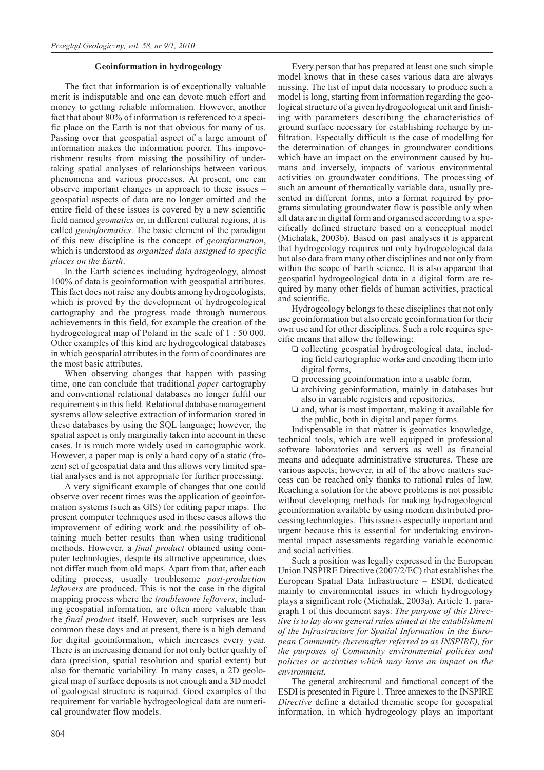### **Geoinformation in hydrogeology**

The fact that information is of exceptionally valuable merit is indisputable and one can devote much effort and money to getting reliable information. However, another fact that about 80% of information is referenced to a specific place on the Earth is not that obvious for many of us. Passing over that geospatial aspect of a large amount of information makes the information poorer. This impoverishment results from missing the possibility of undertaking spatial analyses of relationships between various phenomena and various processes. At present, one can observe important changes in approach to these issues – geospatial aspects of data are no longer omitted and the entire field of these issues is covered by a new scientific field named *geomatics* or, in different cultural regions, it is called *geoinformatics*. The basic element of the paradigm of this new discipline is the concept of *geoinformation*, which is understood as *organized data assigned to specific places on the Earth*.

In the Earth sciences including hydrogeology, almost 100% of data is geoinformation with geospatial attributes. This fact does not raise any doubts among hydrogeologists, which is proved by the development of hydrogeological cartography and the progress made through numerous achievements in this field, for example the creation of the hydrogeological map of Poland in the scale of 1 : 50 000. Other examples of this kind are hydrogeological databases in which geospatial attributes in the form of coordinates are the most basic attributes.

When observing changes that happen with passing time, one can conclude that traditional *paper* cartography and conventional relational databases no longer fulfil our requirements in this field. Relational database management systems allow selective extraction of information stored in these databases by using the SQL language; however, the spatial aspect is only marginally taken into account in these cases. It is much more widely used in cartographic work. However, a paper map is only a hard copy of a static (frozen) set of geospatial data and this allows very limited spatial analyses and is not appropriate for further processing.

A very significant example of changes that one could observe over recent times was the application of geoinformation systems (such as GIS) for editing paper maps. The present computer techniques used in these cases allows the improvement of editing work and the possibility of obtaining much better results than when using traditional methods. However, a *final product* obtained using computer technologies, despite its attractive appearance, does not differ much from old maps. Apart from that, after each editing process, usually troublesome *post-production leftovers* are produced. This is not the case in the digital mapping process where the *troublesome leftovers*, including geospatial information, are often more valuable than the *final product* itself. However, such surprises are less common these days and at present, there is a high demand for digital geoinformation, which increases every year. There is an increasing demand for not only better quality of data (precision, spatial resolution and spatial extent) but also for thematic variability. In many cases, a 2D geological map of surface deposits is not enough and a 3D model of geological structure is required. Good examples of the requirement for variable hydrogeological data are numerical groundwater flow models.

Every person that has prepared at least one such simple model knows that in these cases various data are always missing. The list of input data necessary to produce such a model is long, starting from information regarding the geological structure of a given hydrogeological unit and finishing with parameters describing the characteristics of ground surface necessary for establishing recharge by infiltration. Especially difficult is the case of modelling for the determination of changes in groundwater conditions which have an impact on the environment caused by humans and inversely, impacts of various environmental activities on groundwater conditions. The processing of such an amount of thematically variable data, usually presented in different forms, into a format required by programs simulating groundwater flow is possible only when all data are in digital form and organised according to a specifically defined structure based on a conceptual model (Michalak, 2003b). Based on past analyses it is apparent that hydrogeology requires not only hydrogeological data but also data from many other disciplines and not only from within the scope of Earth science. It is also apparent that geospatial hydrogeological data in a digital form are required by many other fields of human activities, practical and scientific.

Hydrogeology belongs to these disciplines that not only use geoinformation but also create geoinformation for their own use and for other disciplines. Such a role requires specific means that allow the following:

- collecting geospatial hydrogeological data, including field cartographic works and encoding them into digital forms,
- $\square$  processing geoinformation into a usable form,
- archiving geoinformation, mainly in databases but also in variable registers and repositories,
- and, what is most important, making it available for the public, both in digital and paper forms.

Indispensable in that matter is geomatics knowledge, technical tools, which are well equipped in professional software laboratories and servers as well as financial means and adequate administrative structures. These are various aspects; however, in all of the above matters success can be reached only thanks to rational rules of law. Reaching a solution for the above problems is not possible without developing methods for making hydrogeological geoinformation available by using modern distributed processing technologies. This issue is especially important and urgent because this is essential for undertaking environmental impact assessments regarding variable economic and social activities.

Such a position was legally expressed in the European Union INSPIRE Directive (2007/2/EC) that establishes the European Spatial Data Infrastructure – ESDI, dedicated mainly to environmental issues in which hydrogeology plays a significant role (Michalak, 2003a). Article 1, paragraph 1 of this document says: *The purpose of this Directive is to lay down general rules aimed at the establishment of the Infrastructure for Spatial Information in the European Community (hereinafter referred to as INSPIRE), for the purposes of Community environmental policies and policies or activities which may have an impact on the environment.*

The general architectural and functional concept of the ESDI is presented in Figure 1. Three annexes to the INSPIRE *Directive* define a detailed thematic scope for geospatial information, in which hydrogeology plays an important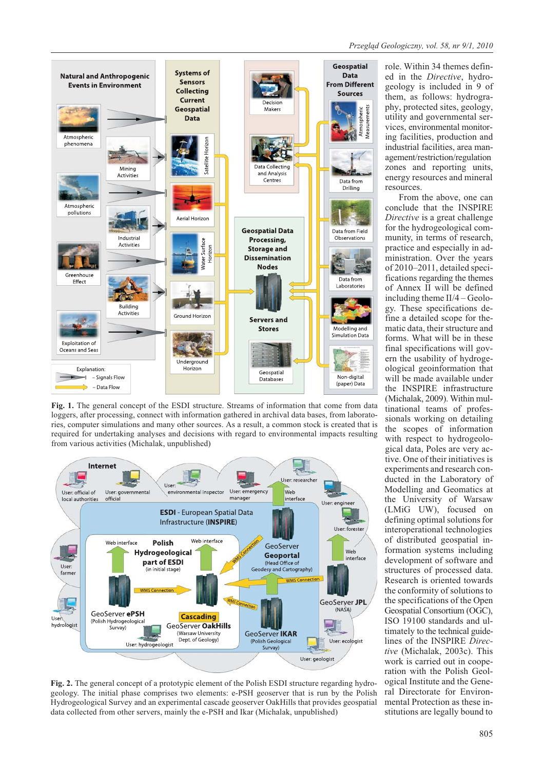

**Fig. 1.** The general concept of the ESDI structure. Streams of information that come from data loggers, after processing, connect with information gathered in archival data bases, from laboratories, computer simulations and many other sources. As a result, a common stock is created that is required for undertaking analyses and decisions with regard to environmental impacts resulting from various activities (Michalak, unpublished)



**Fig. 2.** The general concept of a prototypic element of the Polish ESDI structure regarding hydrogeology. The initial phase comprises two elements: e-PSH geoserver that is run by the Polish Hydrogeological Survey and an experimental cascade geoserver OakHills that provides geospatial data collected from other servers, mainly the e-PSH and Ikar (Michalak, unpublished)

role. Within 34 themes defined in the *Directive*, hydrogeology is included in 9 of them, as follows: hydrography, protected sites, geology, utility and governmental services, environmental monitoring facilities, production and industrial facilities, area management/restriction/regulation zones and reporting units, energy resources and mineral resources.

From the above, one can conclude that the INSPIRE *Directive* is a great challenge for the hydrogeological community, in terms of research, practice and especially in administration. Over the years of 2010–2011, detailed specifications regarding the themes of Annex II will be defined including theme II/4 – Geology. These specifications define a detailed scope for thematic data, their structure and forms. What will be in these final specifications will govern the usability of hydrogeological geoinformation that will be made available under the INSPIRE infrastructure (Michalak, 2009). Within multinational teams of professionals working on detailing the scopes of information with respect to hydrogeological data, Poles are very active. One of their initiatives is experiments and research conducted in the Laboratory of Modelling and Geomatics at the University of Warsaw (LMiG UW), focused on defining optimal solutions for interoperational technologies of distributed geospatial information systems including development of software and structures of processed data. Research is oriented towards the conformity of solutions to the specifications of the Open Geospatial Consortium (OGC), ISO 19100 standards and ultimately to the technical guidelines of the INSPIRE *Directive* (Michalak, 2003c). This work is carried out in cooperation with the Polish Geological Institute and the General Directorate for Environmental Protection as these institutions are legally bound to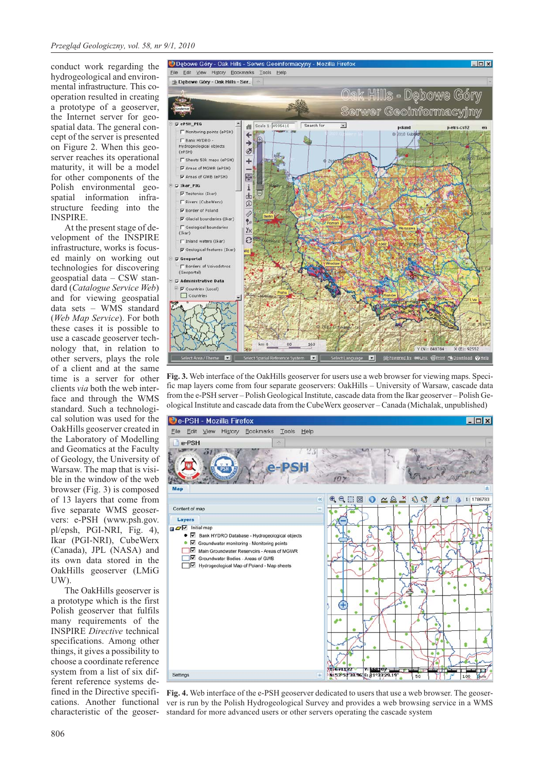conduct work regarding the hydrogeological and environmental infrastructure. This cooperation resulted in creating a prototype of a geoserver, the Internet server for geospatial data. The general concept of the server is presented on Figure 2. When this geoserver reaches its operational maturity, it will be a model for other components of the Polish environmental geospatial information infrastructure feeding into the INSPIRE.

At the present stage of development of the INSPIRE infrastructure, works is focused mainly on working out technologies for discovering geospatial data – CSW standard (*Catalogue Service Web*) and for viewing geospatial data sets – WMS standard (*Web Map Service*). For both these cases it is possible to use a cascade geoserver technology that, in relation to other servers, plays the role of a client and at the same time is a server for other clients *via* both the web interface and through the WMS standard. Such a technological solution was used for the OakHills geoserver created in the Laboratory of Modelling and Geomatics at the Faculty of Geology, the University of Warsaw. The map that is visible in the window of the web browser (Fig. 3) is composed of 13 layers that come from five separate WMS geoservers: e-PSH (www.psh.gov. pl/epsh, PGI-NRI, Fig. 4), Ikar (PGI-NRI), CubeWerx (Canada), JPL (NASA) and its own data stored in the OakHills geoserver (LMiG UW).

The OakHills geoserver is a prototype which is the first Polish geoserver that fulfils many requirements of the INSPIRE *Directive* technical specifications. Among other things, it gives a possibility to choose a coordinate reference system from a list of six different reference systems defined in the Directive specifications. Another functional characteristic of the geoser-



**Fig. 3.** Web interface of the OakHills geoserver for users use a web browser for viewing maps. Specific map layers come from four separate geoservers: OakHills – University of Warsaw, cascade data from the e-PSH server – Polish Geological Institute, cascade data from the Ikar geoserver – Polish Geological Institute and cascade data from the CubeWerx geoserver – Canada (Michalak, unpublished)



**Fig. 4.** Web interface of the e-PSH geoserver dedicated to users that use a web browser. The geoserver is run by the Polish Hydrogeological Survey and provides a web browsing service in a WMS standard for more advanced users or other servers operating the cascade system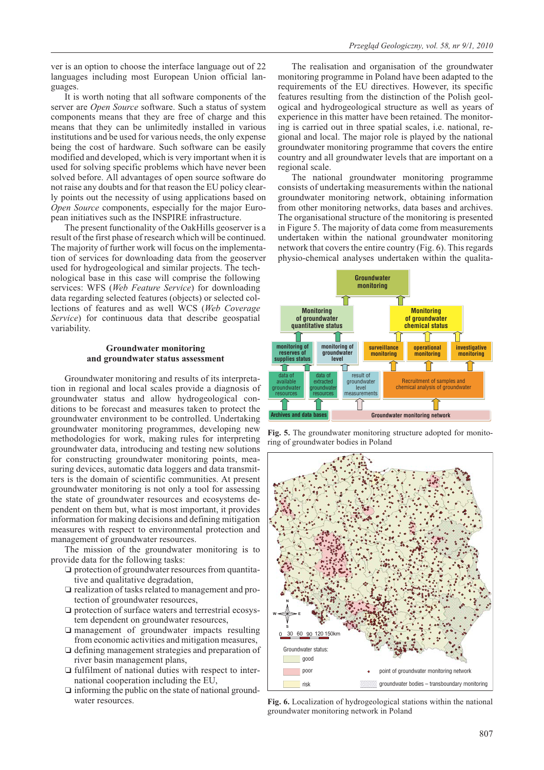ver is an option to choose the interface language out of 22 languages including most European Union official languages.

It is worth noting that all software components of the server are *Open Source* software. Such a status of system components means that they are free of charge and this means that they can be unlimitedly installed in various institutions and be used for various needs, the only expense being the cost of hardware. Such software can be easily modified and developed, which is very important when it is used for solving specific problems which have never been solved before. All advantages of open source software do not raise any doubts and for that reason the EU policy clearly points out the necessity of using applications based on *Open Source* components, especially for the major European initiatives such as the INSPIRE infrastructure.

The present functionality of the OakHills geoserver is a result of the first phase of research which will be continued. The majority of further work will focus on the implementation of services for downloading data from the geoserver used for hydrogeological and similar projects. The technological base in this case will comprise the following services: WFS (*Web Feature Service*) for downloading data regarding selected features (objects) or selected collections of features and as well WCS (*Web Coverage Service*) for continuous data that describe geospatial variability.

### **Groundwater monitoring and groundwater status assessment**

Groundwater monitoring and results of its interpretation in regional and local scales provide a diagnosis of groundwater status and allow hydrogeological conditions to be forecast and measures taken to protect the groundwater environment to be controlled. Undertaking groundwater monitoring programmes, developing new methodologies for work, making rules for interpreting groundwater data, introducing and testing new solutions for constructing groundwater monitoring points, measuring devices, automatic data loggers and data transmitters is the domain of scientific communities. At present groundwater monitoring is not only a tool for assessing the state of groundwater resources and ecosystems dependent on them but, what is most important, it provides information for making decisions and defining mitigation measures with respect to environmental protection and management of groundwater resources.

The mission of the groundwater monitoring is to provide data for the following tasks:

- $\Box$  protection of groundwater resources from quantitative and qualitative degradation,
- $\square$  realization of tasks related to management and protection of groundwater resources,
- $\square$  protection of surface waters and terrestrial ecosystem dependent on groundwater resources,
- management of groundwater impacts resulting from economic activities and mitigation measures,
- defining management strategies and preparation of river basin management plans,
- fulfilment of national duties with respect to international cooperation including the EU,
- $\Box$  informing the public on the state of national groundwater resources.

The realisation and organisation of the groundwater monitoring programme in Poland have been adapted to the requirements of the EU directives. However, its specific features resulting from the distinction of the Polish geological and hydrogeological structure as well as years of experience in this matter have been retained. The monitoring is carried out in three spatial scales, i.e. national, regional and local. The major role is played by the national groundwater monitoring programme that covers the entire country and all groundwater levels that are important on a regional scale.

The national groundwater monitoring programme consists of undertaking measurements within the national groundwater monitoring network, obtaining information from other monitoring networks, data bases and archives. The organisational structure of the monitoring is presented in Figure 5. The majority of data come from measurements undertaken within the national groundwater monitoring network that covers the entire country (Fig. 6). This regards physio-chemical analyses undertaken within the qualita-



**Fig. 5.** The groundwater monitoring structure adopted for monitoring of groundwater bodies in Poland



**Fig. 6.** Localization of hydrogeological stations within the national groundwater monitoring network in Poland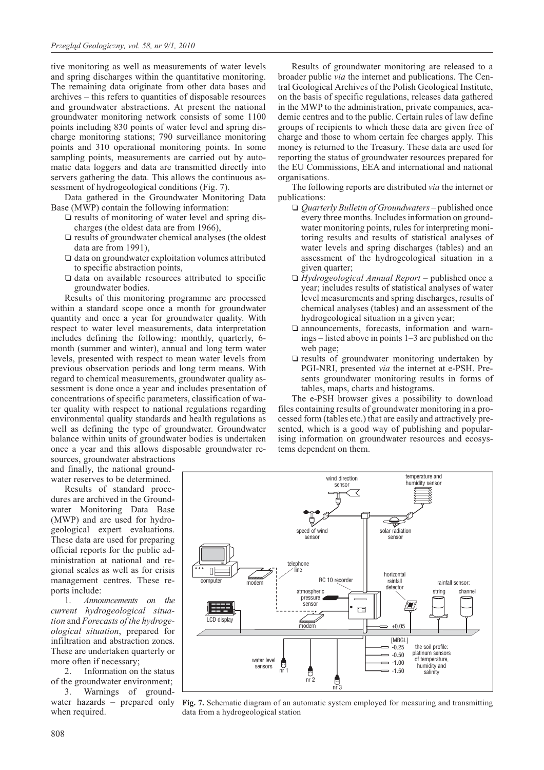tive monitoring as well as measurements of water levels and spring discharges within the quantitative monitoring. The remaining data originate from other data bases and archives – this refers to quantities of disposable resources and groundwater abstractions. At present the national groundwater monitoring network consists of some 1100 points including 830 points of water level and spring discharge monitoring stations; 790 surveillance monitoring points and 310 operational monitoring points. In some sampling points, measurements are carried out by automatic data loggers and data are transmitted directly into servers gathering the data. This allows the continuous assessment of hydrogeological conditions (Fig. 7).

Data gathered in the Groundwater Monitoring Data Base (MWP) contain the following information:

- $\square$  results of monitoring of water level and spring discharges (the oldest data are from 1966),
- results of groundwater chemical analyses (the oldest data are from 1991),
- data on groundwater exploitation volumes attributed to specific abstraction points,
- data on available resources attributed to specific groundwater bodies.

Results of this monitoring programme are processed within a standard scope once a month for groundwater quantity and once a year for groundwater quality. With respect to water level measurements, data interpretation includes defining the following: monthly, quarterly, 6 month (summer and winter), annual and long term water levels, presented with respect to mean water levels from previous observation periods and long term means. With regard to chemical measurements, groundwater quality assessment is done once a year and includes presentation of concentrations of specific parameters, classification of water quality with respect to national regulations regarding environmental quality standards and health regulations as well as defining the type of groundwater. Groundwater balance within units of groundwater bodies is undertaken once a year and this allows disposable groundwater re-

sources, groundwater abstractions and finally, the national groundwater reserves to be determined.

Results of standard procedures are archived in the Groundwater Monitoring Data Base (MWP) and are used for hydrogeological expert evaluations. These data are used for preparing official reports for the public administration at national and regional scales as well as for crisis management centres. These reports include:

1. *Announcements on the current hydrogeological situation* and *Forecasts of the hydrogeological situation*, prepared for infiltration and abstraction zones. These are undertaken quarterly or more often if necessary;

2. Information on the status of the groundwater environment;

3. Warnings of groundwater hazards – prepared only when required.

Results of groundwater monitoring are released to a broader public *via* the internet and publications. The Central Geological Archives of the Polish Geological Institute, on the basis of specific regulations, releases data gathered in the MWP to the administration, private companies, academic centres and to the public. Certain rules of law define groups of recipients to which these data are given free of charge and those to whom certain fee charges apply. This money is returned to the Treasury. These data are used for reporting the status of groundwater resources prepared for the EU Commissions, EEA and international and national organisations.

The following reports are distributed *via* the internet or publications:

- *Quarterly Bulletin of Groundwaters* published once every three months. Includes information on groundwater monitoring points, rules for interpreting monitoring results and results of statistical analyses of water levels and spring discharges (tables) and an assessment of the hydrogeological situation in a given quarter;
- □ *Hydrogeological Annual Report* published once a year; includes results of statistical analyses of water level measurements and spring discharges, results of chemical analyses (tables) and an assessment of the hydrogeological situation in a given year;
- announcements, forecasts, information and warnings – listed above in points 1–3 are published on the web page;
- results of groundwater monitoring undertaken by PGI-NRI, presented *via* the internet at e-PSH. Presents groundwater monitoring results in forms of tables, maps, charts and histograms.

The e-PSH browser gives a possibility to download files containing results of groundwater monitoring in a processed form (tables etc.) that are easily and attractively presented, which is a good way of publishing and popularising information on groundwater resources and ecosystems dependent on them.



**Fig. 7.** Schematic diagram of an automatic system employed for measuring and transmitting data from a hydrogeological station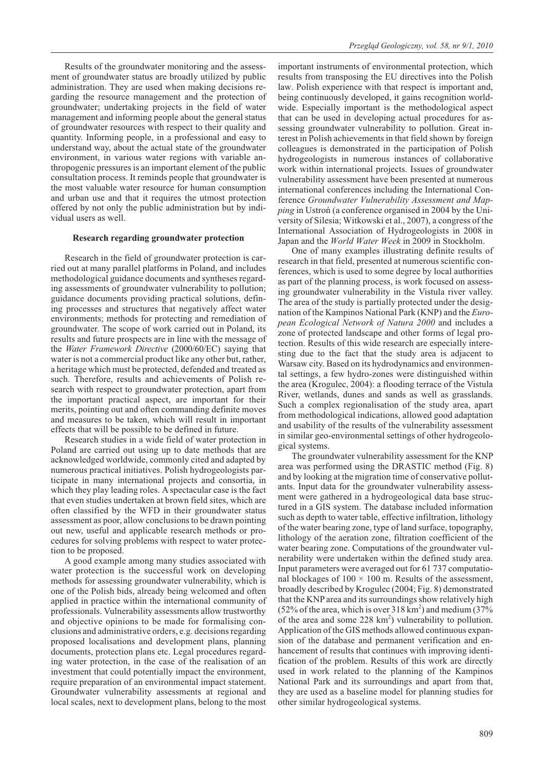Results of the groundwater monitoring and the assessment of groundwater status are broadly utilized by public administration. They are used when making decisions regarding the resource management and the protection of groundwater; undertaking projects in the field of water management and informing people about the general status of groundwater resources with respect to their quality and quantity. Informing people, in a professional and easy to understand way, about the actual state of the groundwater environment, in various water regions with variable anthropogenic pressures is an important element of the public consultation process. It reminds people that groundwater is the most valuable water resource for human consumption and urban use and that it requires the utmost protection offered by not only the public administration but by individual users as well.

#### **Research regarding groundwater protection**

Research in the field of groundwater protection is carried out at many parallel platforms in Poland, and includes methodological guidance documents and syntheses regarding assessments of groundwater vulnerability to pollution; guidance documents providing practical solutions, defining processes and structures that negatively affect water environments; methods for protecting and remediation of groundwater. The scope of work carried out in Poland, its results and future prospects are in line with the message of the *Water Framework Directive* (2000/60/EC) saying that water is not a commercial product like any other but, rather, a heritage which must be protected, defended and treated as such. Therefore, results and achievements of Polish research with respect to groundwater protection, apart from the important practical aspect, are important for their merits, pointing out and often commanding definite moves and measures to be taken, which will result in important effects that will be possible to be defined in future.

Research studies in a wide field of water protection in Poland are carried out using up to date methods that are acknowledged worldwide, commonly cited and adapted by numerous practical initiatives. Polish hydrogeologists participate in many international projects and consortia, in which they play leading roles. A spectacular case is the fact that even studies undertaken at brown field sites, which are often classified by the WFD in their groundwater status assessment as poor, allow conclusions to be drawn pointing out new, useful and applicable research methods or procedures for solving problems with respect to water protection to be proposed.

A good example among many studies associated with water protection is the successful work on developing methods for assessing groundwater vulnerability, which is one of the Polish bids, already being welcomed and often applied in practice within the international community of professionals. Vulnerability assessments allow trustworthy and objective opinions to be made for formalising conclusions and administrative orders, e.g. decisions regarding proposed localisations and development plans, planning documents, protection plans etc. Legal procedures regarding water protection, in the case of the realisation of an investment that could potentially impact the environment, require preparation of an environmental impact statement. Groundwater vulnerability assessments at regional and local scales, next to development plans, belong to the most

important instruments of environmental protection, which results from transposing the EU directives into the Polish law. Polish experience with that respect is important and, being continuously developed, it gains recognition worldwide. Especially important is the methodological aspect that can be used in developing actual procedures for assessing groundwater vulnerability to pollution. Great interest in Polish achievements in that field shown by foreign colleagues is demonstrated in the participation of Polish hydrogeologists in numerous instances of collaborative work within international projects. Issues of groundwater vulnerability assessment have been presented at numerous international conferences including the International Conference *Groundwater Vulnerability Assessment and Mapping* in Ustroñ (a conference organised in 2004 by the University of Silesia; Witkowski et al., 2007), a congress of the International Association of Hydrogeologists in 2008 in Japan and the *World Water Week* in 2009 in Stockholm.

One of many examples illustrating definite results of research in that field, presented at numerous scientific conferences, which is used to some degree by local authorities as part of the planning process, is work focused on assessing groundwater vulnerability in the Vistula river valley. The area of the study is partially protected under the designation of the Kampinos National Park (KNP) and the *European Ecological Network of Natura 2000* and includes a zone of protected landscape and other forms of legal protection. Results of this wide research are especially interesting due to the fact that the study area is adjacent to Warsaw city. Based on its hydrodynamics and environmental settings, a few hydro-zones were distinguished within the area (Krogulec, 2004): a flooding terrace of the Vistula River, wetlands, dunes and sands as well as grasslands. Such a complex regionalisation of the study area, apart from methodological indications, allowed good adaptation and usability of the results of the vulnerability assessment in similar geo-environmental settings of other hydrogeological systems.

The groundwater vulnerability assessment for the KNP area was performed using the DRASTIC method (Fig. 8) and by looking at the migration time of conservative pollutants. Input data for the groundwater vulnerability assessment were gathered in a hydrogeological data base structured in a GIS system. The database included information such as depth to water table, effective infiltration, lithology of the water bearing zone, type of land surface, topography, lithology of the aeration zone, filtration coefficient of the water bearing zone. Computations of the groundwater vulnerability were undertaken within the defined study area. Input parameters were averaged out for 61 737 computational blockages of  $100 \times 100$  m. Results of the assessment, broadly described by Krogulec (2004; Fig. 8) demonstrated that the KNP area and its surroundings show relatively high (52% of the area, which is over  $318 \text{ km}^2$ ) and medium (37% of the area and some  $228 \text{ km}^2$ ) vulnerability to pollution. Application of the GIS methods allowed continuous expansion of the database and permanent verification and enhancement of results that continues with improving identification of the problem. Results of this work are directly used in work related to the planning of the Kampinos National Park and its surroundings and apart from that, they are used as a baseline model for planning studies for other similar hydrogeological systems.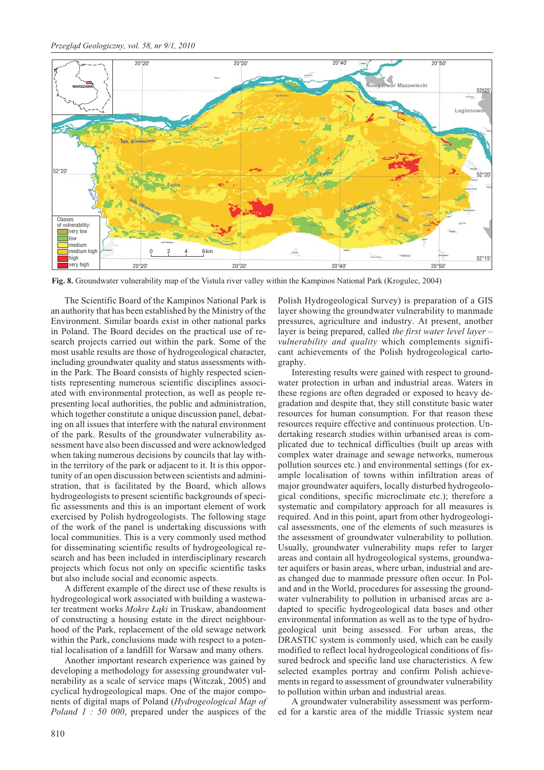

**Fig. 8.** Groundwater vulnerability map of the Vistula river valley within the Kampinos National Park (Krogulec, 2004)

The Scientific Board of the Kampinos National Park is an authority that has been established by the Ministry of the Environment. Similar boards exist in other national parks in Poland. The Board decides on the practical use of research projects carried out within the park. Some of the most usable results are those of hydrogeological character, including groundwater quality and status assessments within the Park. The Board consists of highly respected scientists representing numerous scientific disciplines associated with environmental protection, as well as people representing local authorities, the public and administration, which together constitute a unique discussion panel, debating on all issues that interfere with the natural environment of the park. Results of the groundwater vulnerability assessment have also been discussed and were acknowledged when taking numerous decisions by councils that lay within the territory of the park or adjacent to it. It is this opportunity of an open discussion between scientists and administration, that is facilitated by the Board, which allows hydrogeologists to present scientific backgrounds of specific assessments and this is an important element of work exercised by Polish hydrogeologists. The following stage of the work of the panel is undertaking discussions with local communities. This is a very commonly used method for disseminating scientific results of hydrogeological research and has been included in interdisciplinary research projects which focus not only on specific scientific tasks but also include social and economic aspects.

A different example of the direct use of these results is hydrogeological work associated with building a wastewater treatment works *Mokre Łąki* in Truskaw, abandonment of constructing a housing estate in the direct neighbourhood of the Park, replacement of the old sewage network within the Park, conclusions made with respect to a potential localisation of a landfill for Warsaw and many others.

Another important research experience was gained by developing a methodology for assessing groundwater vulnerability as a scale of service maps (Witczak, 2005) and cyclical hydrogeological maps. One of the major components of digital maps of Poland (*Hydrogeological Map of Poland 1 : 50 000*, prepared under the auspices of the

Polish Hydrogeological Survey) is preparation of a GIS layer showing the groundwater vulnerability to manmade pressures, agriculture and industry. At present, another layer is being prepared, called *the first water level layer – vulnerability and quality* which complements significant achievements of the Polish hydrogeological cartography.

Interesting results were gained with respect to groundwater protection in urban and industrial areas. Waters in these regions are often degraded or exposed to heavy degradation and despite that, they still constitute basic water resources for human consumption. For that reason these resources require effective and continuous protection. Undertaking research studies within urbanised areas is complicated due to technical difficulties (built up areas with complex water drainage and sewage networks, numerous pollution sources etc.) and environmental settings (for example localisation of towns within infiltration areas of major groundwater aquifers, locally disturbed hydrogeological conditions, specific microclimate etc.); therefore a systematic and compilatory approach for all measures is required. And in this point, apart from other hydrogeological assessments, one of the elements of such measures is the assessment of groundwater vulnerability to pollution. Usually, groundwater vulnerability maps refer to larger areas and contain all hydrogeological systems, groundwater aquifers or basin areas, where urban, industrial and areas changed due to manmade pressure often occur. In Poland and in the World, procedures for assessing the groundwater vulnerability to pollution in urbanised areas are adapted to specific hydrogeological data bases and other environmental information as well as to the type of hydrogeological unit being assessed. For urban areas, the DRASTIC system is commonly used, which can be easily modified to reflect local hydrogeological conditions of fissured bedrock and specific land use characteristics. A few selected examples portray and confirm Polish achievements in regard to assessment of groundwater vulnerability to pollution within urban and industrial areas.

A groundwater vulnerability assessment was performed for a karstic area of the middle Triassic system near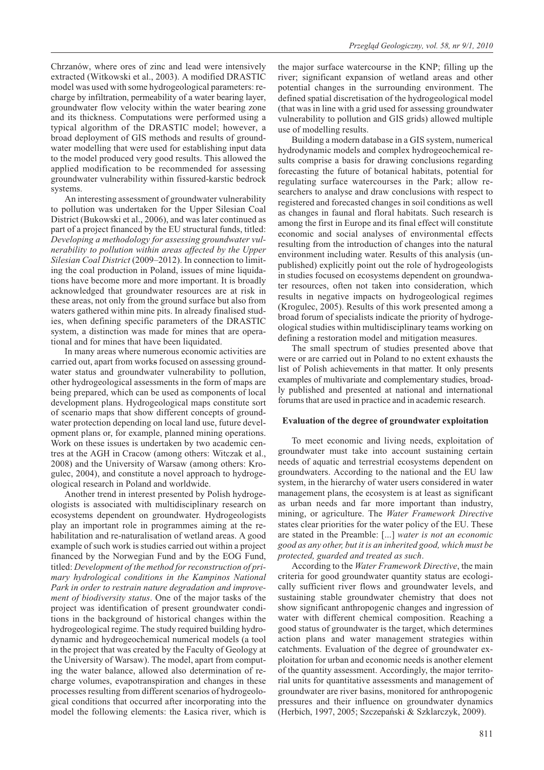Chrzanów, where ores of zinc and lead were intensively extracted (Witkowski et al., 2003). A modified DRASTIC model was used with some hydrogeological parameters: recharge by infiltration, permeability of a water bearing layer, groundwater flow velocity within the water bearing zone and its thickness. Computations were performed using a typical algorithm of the DRASTIC model; however, a broad deployment of GIS methods and results of groundwater modelling that were used for establishing input data to the model produced very good results. This allowed the applied modification to be recommended for assessing groundwater vulnerability within fissured-karstic bedrock systems.

An interesting assessment of groundwater vulnerability to pollution was undertaken for the Upper Silesian Coal District (Bukowski et al., 2006), and was later continued as part of a project financed by the EU structural funds, titled: *Developing a methodology for assessing groundwater vulnerability to pollution within areas affected by the Upper Silesian Coal District* (2009–2012). In connection to limiting the coal production in Poland, issues of mine liquidations have become more and more important. It is broadly acknowledged that groundwater resources are at risk in these areas, not only from the ground surface but also from waters gathered within mine pits. In already finalised studies, when defining specific parameters of the DRASTIC system, a distinction was made for mines that are operational and for mines that have been liquidated.

In many areas where numerous economic activities are carried out, apart from works focused on assessing groundwater status and groundwater vulnerability to pollution, other hydrogeological assessments in the form of maps are being prepared, which can be used as components of local development plans. Hydrogeological maps constitute sort of scenario maps that show different concepts of groundwater protection depending on local land use, future development plans or, for example, planned mining operations. Work on these issues is undertaken by two academic centres at the AGH in Cracow (among others: Witczak et al., 2008) and the University of Warsaw (among others: Krogulec, 2004), and constitute a novel approach to hydrogeological research in Poland and worldwide.

Another trend in interest presented by Polish hydrogeologists is associated with multidisciplinary research on ecosystems dependent on groundwater. Hydrogeologists play an important role in programmes aiming at the rehabilitation and re-naturalisation of wetland areas. A good example of such work is studies carried out within a project financed by the Norwegian Fund and by the EOG Fund, titled: *Development of the method for reconstruction of primary hydrological conditions in the Kampinos National Park in order to restrain nature degradation and improvement of biodiversity status*. One of the major tasks of the project was identification of present groundwater conditions in the background of historical changes within the hydrogeological regime. The study required building hydrodynamic and hydrogeochemical numerical models (a tool in the project that was created by the Faculty of Geology at the University of Warsaw). The model, apart from computing the water balance, allowed also determination of recharge volumes, evapotranspiration and changes in these processes resulting from different scenarios of hydrogeological conditions that occurred after incorporating into the model the following elements: the £asica river, which is

the major surface watercourse in the KNP; filling up the river; significant expansion of wetland areas and other potential changes in the surrounding environment. The defined spatial discretisation of the hydrogeological model (that was in line with a grid used for assessing groundwater vulnerability to pollution and GIS grids) allowed multiple use of modelling results.

Building a modern database in a GIS system, numerical hydrodynamic models and complex hydrogeochemical results comprise a basis for drawing conclusions regarding forecasting the future of botanical habitats, potential for regulating surface watercourses in the Park; allow researchers to analyse and draw conclusions with respect to registered and forecasted changes in soil conditions as well as changes in faunal and floral habitats. Such research is among the first in Europe and its final effect will constitute economic and social analyses of environmental effects resulting from the introduction of changes into the natural environment including water. Results of this analysis (unpublished) explicitly point out the role of hydrogeologists in studies focused on ecosystems dependent on groundwater resources, often not taken into consideration, which results in negative impacts on hydrogeological regimes (Krogulec, 2005). Results of this work presented among a broad forum of specialists indicate the priority of hydrogeological studies within multidisciplinary teams working on defining a restoration model and mitigation measures.

The small spectrum of studies presented above that were or are carried out in Poland to no extent exhausts the list of Polish achievements in that matter. It only presents examples of multivariate and complementary studies, broadly published and presented at national and international forums that are used in practice and in academic research.

#### **Evaluation of the degree of groundwater exploitation**

To meet economic and living needs, exploitation of groundwater must take into account sustaining certain needs of aquatic and terrestrial ecosystems dependent on groundwaters. According to the national and the EU law system, in the hierarchy of water users considered in water management plans, the ecosystem is at least as significant as urban needs and far more important than industry, mining, or agriculture. The *Water Framework Directive* states clear priorities for the water policy of the EU. These are stated in the Preamble: [...] *water is not an economic good as any other, but it is an inherited good, which must be protected, guarded and treated as such*.

According to the *Water Framework Directive*, the main criteria for good groundwater quantity status are ecologically sufficient river flows and groundwater levels, and sustaining stable groundwater chemistry that does not show significant anthropogenic changes and ingression of water with different chemical composition. Reaching a good status of groundwater is the target, which determines action plans and water management strategies within catchments. Evaluation of the degree of groundwater exploitation for urban and economic needs is another element of the quantity assessment. Accordingly, the major territorial units for quantitative assessments and management of groundwater are river basins, monitored for anthropogenic pressures and their influence on groundwater dynamics (Herbich, 1997, 2005; Szczepañski & Szklarczyk, 2009).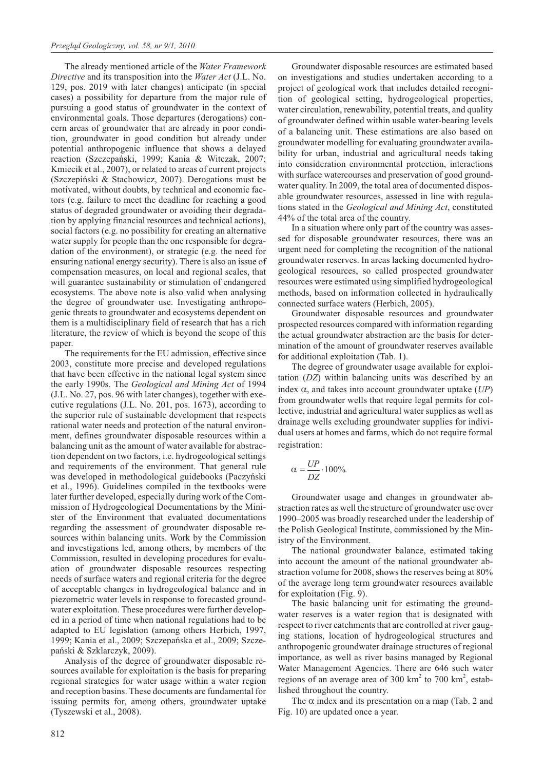The already mentioned article of the *Water Framework Directive* and its transposition into the *Water Act* (J.L. No. 129, pos. 2019 with later changes) anticipate (in special cases) a possibility for departure from the major rule of pursuing a good status of groundwater in the context of environmental goals. Those departures (derogations) concern areas of groundwater that are already in poor condition, groundwater in good condition but already under potential anthropogenic influence that shows a delayed reaction (Szczepañski, 1999; Kania & Witczak, 2007; Kmiecik et al., 2007), or related to areas of current projects (Szczepiñski & Stachowicz, 2007). Derogations must be motivated, without doubts, by technical and economic factors (e.g. failure to meet the deadline for reaching a good status of degraded groundwater or avoiding their degradation by applying financial resources and technical actions), social factors (e.g. no possibility for creating an alternative water supply for people than the one responsible for degradation of the environment), or strategic (e.g. the need for ensuring national energy security). There is also an issue of compensation measures, on local and regional scales, that will guarantee sustainability or stimulation of endangered ecosystems. The above note is also valid when analysing the degree of groundwater use. Investigating anthropogenic threats to groundwater and ecosystems dependent on them is a multidisciplinary field of research that has a rich literature, the review of which is beyond the scope of this paper.

The requirements for the EU admission, effective since 2003, constitute more precise and developed regulations that have been effective in the national legal system since the early 1990s. The *Geological and Mining Act* of 1994 (J.L. No. 27, pos. 96 with later changes), together with executive regulations (J.L. No. 201, pos. 1673), according to the superior rule of sustainable development that respects rational water needs and protection of the natural environment, defines groundwater disposable resources within a balancing unit as the amount of water available for abstraction dependent on two factors, i.e. hydrogeological settings and requirements of the environment. That general rule was developed in methodological guidebooks (Paczyñski et al., 1996). Guidelines compiled in the textbooks were later further developed, especially during work of the Commission of Hydrogeological Documentations by the Minister of the Environment that evaluated documentations regarding the assessment of groundwater disposable resources within balancing units. Work by the Commission and investigations led, among others, by members of the Commission, resulted in developing procedures for evaluation of groundwater disposable resources respecting needs of surface waters and regional criteria for the degree of acceptable changes in hydrogeological balance and in piezometric water levels in response to forecasted groundwater exploitation. These procedures were further developed in a period of time when national regulations had to be adapted to EU legislation (among others Herbich, 1997, 1999; Kania et al., 2009; Szczepañska et al., 2009; Szczepañski & Szklarczyk, 2009).

Analysis of the degree of groundwater disposable resources available for exploitation is the basis for preparing regional strategies for water usage within a water region and reception basins. These documents are fundamental for issuing permits for, among others, groundwater uptake (Tyszewski et al., 2008).

Groundwater disposable resources are estimated based on investigations and studies undertaken according to a project of geological work that includes detailed recognition of geological setting, hydrogeological properties, water circulation, renewability, potential treats, and quality of groundwater defined within usable water-bearing levels of a balancing unit. These estimations are also based on groundwater modelling for evaluating groundwater availability for urban, industrial and agricultural needs taking into consideration environmental protection, interactions with surface watercourses and preservation of good groundwater quality. In 2009, the total area of documented disposable groundwater resources, assessed in line with regulations stated in the *Geological and Mining Act*, constituted 44% of the total area of the country.

In a situation where only part of the country was assessed for disposable groundwater resources, there was an urgent need for completing the recognition of the national groundwater reserves. In areas lacking documented hydrogeological resources, so called prospected groundwater resources were estimated using simplified hydrogeological methods, based on information collected in hydraulically connected surface waters (Herbich, 2005).

Groundwater disposable resources and groundwater prospected resources compared with information regarding the actual groundwater abstraction are the basis for determination of the amount of groundwater reserves available for additional exploitation (Tab. 1).

The degree of groundwater usage available for exploitation (*DZ*) within balancing units was described by an index  $\alpha$ , and takes into account groundwater uptake  $(UP)$ from groundwater wells that require legal permits for collective, industrial and agricultural water supplies as well as drainage wells excluding groundwater supplies for individual users at homes and farms, which do not require formal registration:

$$
\alpha = \frac{UP}{DZ} \cdot 100\%.
$$

Groundwater usage and changes in groundwater abstraction rates as well the structure of groundwater use over 1990–2005 was broadly researched under the leadership of the Polish Geological Institute, commissioned by the Ministry of the Environment.

The national groundwater balance, estimated taking into account the amount of the national groundwater abstraction volume for 2008, shows the reserves being at 80% of the average long term groundwater resources available for exploitation (Fig. 9).

The basic balancing unit for estimating the groundwater reserves is a water region that is designated with respect to river catchments that are controlled at river gauging stations, location of hydrogeological structures and anthropogenic groundwater drainage structures of regional importance, as well as river basins managed by Regional Water Management Agencies. There are 646 such water regions of an average area of 300  $\text{km}^2$  to 700  $\text{km}^2$ , established throughout the country.

The  $\alpha$  index and its presentation on a map (Tab. 2 and Fig. 10) are updated once a year.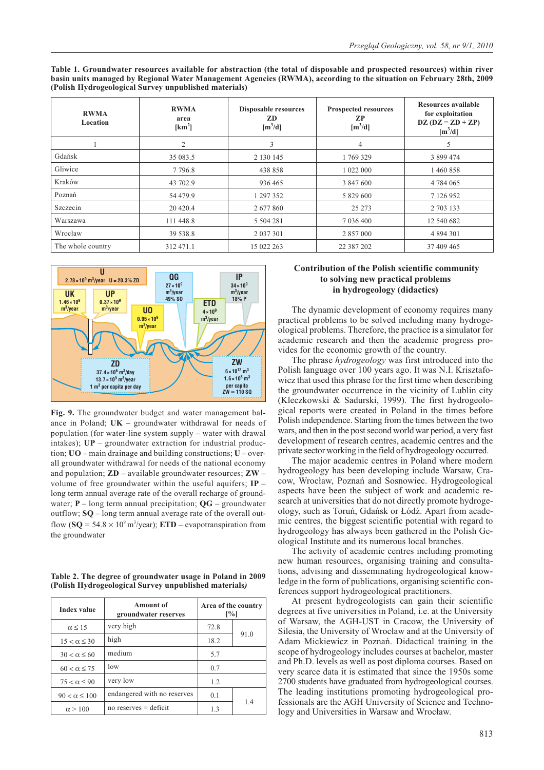| <b>RWMA</b><br>Location | <b>RWMA</b><br>area<br>[km <sup>2</sup> ] | <b>Disposable resources</b><br>ZD<br>$[m^3/d]$ | <b>Prospected resources</b><br>ZP<br>$[m^3/d]$ | Resources available<br>for exploitation<br>$DZ (DZ = ZD + ZP)$<br>$[m^3/d]$ |
|-------------------------|-------------------------------------------|------------------------------------------------|------------------------------------------------|-----------------------------------------------------------------------------|
|                         | $\overline{2}$                            | 3                                              | 4                                              |                                                                             |
| Gdańsk                  | 35 083.5                                  | 2 130 145                                      | 1769329                                        | 3 899 474                                                                   |
| Gliwice                 | 7 7 9 6.8                                 | 438 858                                        | 1 022 000                                      | 1460858                                                                     |
| Kraków                  | 43 702.9                                  | 936 465                                        | 3 847 600                                      | 4 784 065                                                                   |
| Poznań                  | 54 479.9                                  | 1 297 352                                      | 5 829 600                                      | 7 126 952                                                                   |
| Szczecin                | 20 4 20.4                                 | 2 677 860                                      | 25 273                                         | 2 703 133                                                                   |
| Warszawa                | 111 448.8                                 | 5 5 0 4 2 8 1                                  | 7 036 400                                      | 12 540 682                                                                  |
| Wrocław                 | 39 538.8                                  | 2 0 3 7 3 0 1                                  | 2 857 000                                      | 4 894 301                                                                   |
| The whole country       | 312 471.1                                 | 15 022 263                                     | 22 387 202                                     | 37 409 465                                                                  |

**Table 1. Groundwater resources available for abstraction (the total of disposable and prospected resources) within river basin units managed by Regional Water Management Agencies (RWMA), according to the situation on February 28th, 2009 (Polish Hydrogeological Survey unpublished materials)**



**Fig. 9.** The groundwater budget and water management balance in Poland; **UK –** groundwater withdrawal for needs of population (for water-line system supply – water with drawal intakes); **UP** – groundwater extraction for industrial production; **UO** – main drainage and building constructions; **U** – overall groundwater withdrawal for needs of the national economy and population; **ZD** – available groundwater resources; **ZW** – volume of free groundwater within the useful aquifers; **IP** – long term annual average rate of the overall recharge of groundwater; **P** – long term annual precipitation; **QG** – groundwater outflow; **SQ** – long term annual average rate of the overall outflow  $(**SQ** = 54.8 \times 10<sup>9</sup> \text{ m}^3/\text{year})$ ; **ETD** – evapotranspiration from the groundwater

**Table 2. The degree of groundwater usage in Poland in 2009 (Polish Hydrogeological Survey unpublished materials***)*

| <b>Index value</b>    | <b>Amount of</b><br>groundwater reserves | Area of the country<br>[%] |      |
|-----------------------|------------------------------------------|----------------------------|------|
| $\alpha \leq 15$      | very high                                | 72.8                       |      |
| $15 < \alpha \leq 30$ | high                                     | 18.2                       | 91.0 |
| $30 < \alpha \le 60$  | medium                                   | 5.7                        |      |
| $60 < \alpha \leq 75$ | 10w                                      | 0.7                        |      |
| $75 < \alpha \leq 90$ | very low                                 | 1.2                        |      |
| $90 < \alpha \le 100$ | endangered with no reserves              | 0.1                        |      |
| $\alpha$ > 100        | no reserves $=$ deficit                  |                            | 14   |

## **Contribution of the Polish scientific community to solving new practical problems in hydrogeology (didactics)**

The dynamic development of economy requires many practical problems to be solved including many hydrogeological problems. Therefore, the practice is a simulator for academic research and then the academic progress provides for the economic growth of the country.

The phrase *hydrogeology* was first introduced into the Polish language over 100 years ago. It was N.I. Krisztafowicz that used this phrase for the first time when describing the groundwater occurrence in the vicinity of Lublin city (Kleczkowski & Sadurski, 1999). The first hydrogeological reports were created in Poland in the times before Polish independence. Starting from the times between the two wars, and then in the post second world war period, a very fast development of research centres, academic centres and the private sector working in the field of hydrogeology occurred.

The major academic centres in Poland where modern hydrogeology has been developing include Warsaw, Cracow, Wroc³aw, Poznañ and Sosnowiec. Hydrogeological aspects have been the subject of work and academic research at universities that do not directly promote hydrogeology, such as Toruń, Gdańsk or Łódź. Apart from academic centres, the biggest scientific potential with regard to hydrogeology has always been gathered in the Polish Geological Institute and its numerous local branches.

The activity of academic centres including promoting new human resources, organising training and consultations, advising and disseminating hydrogeological knowledge in the form of publications, organising scientific conferences support hydrogeological practitioners.

At present hydrogeologists can gain their scientific degrees at five universities in Poland, i.e. at the University of Warsaw, the AGH-UST in Cracow, the University of Silesia, the University of Wrocław and at the University of Adam Mickiewicz in Poznañ. Didactical training in the scope of hydrogeology includes courses at bachelor, master and Ph.D. levels as well as post diploma courses. Based on very scarce data it is estimated that since the 1950s some 2700 students have graduated from hydrogeological courses. The leading institutions promoting hydrogeological professionals are the AGH University of Science and Technology and Universities in Warsaw and Wrocław.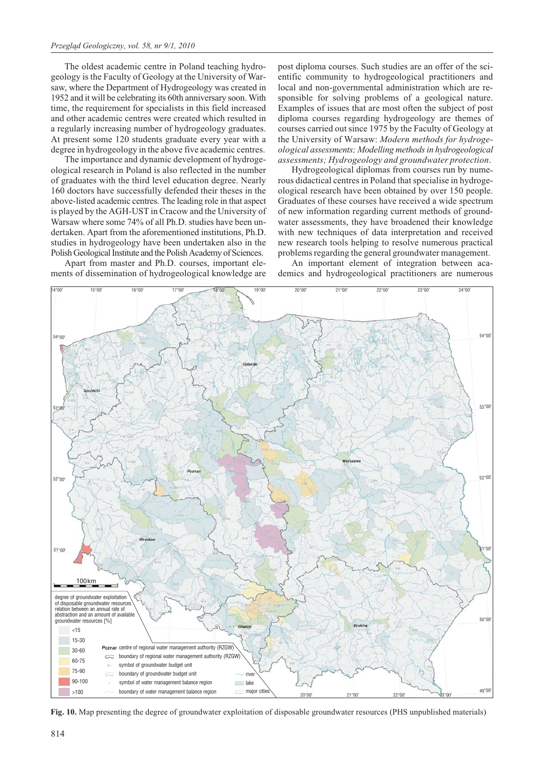The oldest academic centre in Poland teaching hydrogeology is the Faculty of Geology at the University of Warsaw, where the Department of Hydrogeology was created in 1952 and it will be celebrating its 60th anniversary soon. With time, the requirement for specialists in this field increased and other academic centres were created which resulted in a regularly increasing number of hydrogeology graduates. At present some 120 students graduate every year with a degree in hydrogeology in the above five academic centres.

The importance and dynamic development of hydrogeological research in Poland is also reflected in the number of graduates with the third level education degree. Nearly 160 doctors have successfully defended their theses in the above-listed academic centres. The leading role in that aspect is played by the AGH-UST in Cracow and the University of Warsaw where some 74% of all Ph.D. studies have been undertaken. Apart from the aforementioned institutions, Ph.D. studies in hydrogeology have been undertaken also in the Polish Geological Institute and the Polish Academy of Sciences.

Apart from master and Ph.D. courses, important elements of dissemination of hydrogeological knowledge are post diploma courses. Such studies are an offer of the scientific community to hydrogeological practitioners and local and non-governmental administration which are responsible for solving problems of a geological nature. Examples of issues that are most often the subject of post diploma courses regarding hydrogeology are themes of courses carried out since 1975 by the Faculty of Geology at the University of Warsaw: *Modern methods for hydrogeological assessments; Modelling methods in hydrogeological assessments; Hydrogeology and groundwater protection*.

Hydrogeological diplomas from courses run by numerous didactical centres in Poland that specialise in hydrogeological research have been obtained by over 150 people. Graduates of these courses have received a wide spectrum of new information regarding current methods of groundwater assessments, they have broadened their knowledge with new techniques of data interpretation and received new research tools helping to resolve numerous practical problems regarding the general groundwater management.

An important element of integration between academics and hydrogeological practitioners are numerous



**Fig. 10.** Map presenting the degree of groundwater exploitation of disposable groundwater resources (PHS unpublished materials)